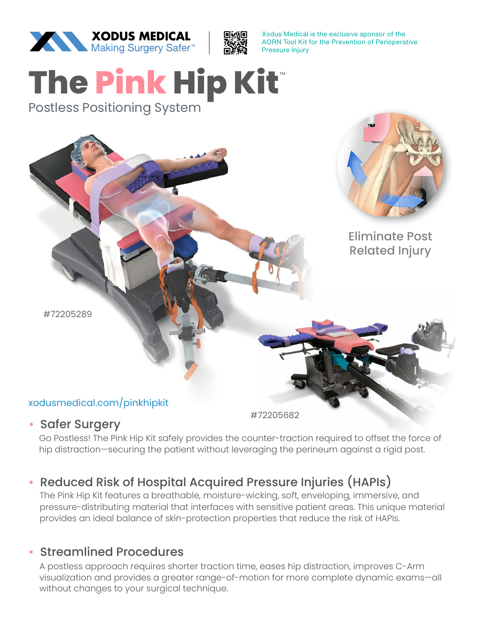



Xodus Medical is the exclusive sponsor of the AORN Tool Kit for the Prevention of Perioperative Pressure Injury

# **The Pink Hip Kit**™

Postless Positioning System



#### • Safer Surgery

Go Postless! The Pink Hip Kit safely provides the counter-traction required to offset the force of hip distraction—securing the patient without leveraging the perineum against a rigid post.

# • Reduced Risk of Hospital Acquired Pressure Injuries (HAPIs)

The Pink Hip Kit features a breathable, moisture-wicking, soft, enveloping, immersive, and pressure-distributing material that interfaces with sensitive patient areas. This unique material provides an ideal balance of skin-protection properties that reduce the risk of HAPIs.

#### • Streamlined Procedures

A postless approach requires shorter traction time, eases hip distraction, improves C-Arm visualization and provides a greater range-of-motion for more complete dynamic exams—all without changes to your surgical technique.